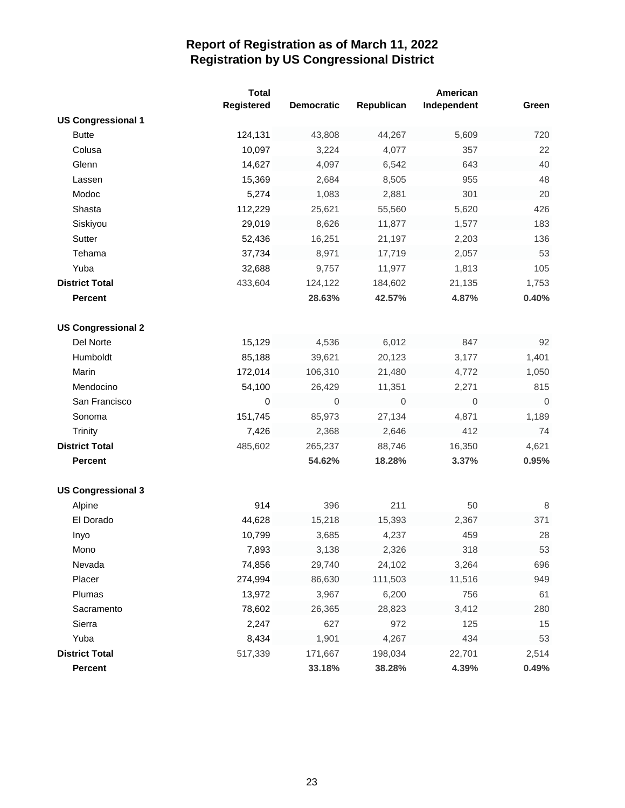|                           | <b>Total</b><br>Registered | <b>Democratic</b> | Republican  | American<br>Independent | Green       |
|---------------------------|----------------------------|-------------------|-------------|-------------------------|-------------|
| <b>US Congressional 1</b> |                            |                   |             |                         |             |
| <b>Butte</b>              | 124,131                    | 43,808            | 44,267      | 5,609                   | 720         |
| Colusa                    | 10,097                     | 3,224             | 4,077       | 357                     | 22          |
| Glenn                     | 14,627                     | 4,097             | 6,542       | 643                     | 40          |
| Lassen                    | 15,369                     | 2,684             | 8,505       | 955                     | 48          |
| Modoc                     | 5,274                      | 1,083             | 2,881       | 301                     | 20          |
| Shasta                    | 112,229                    | 25,621            | 55,560      | 5,620                   | 426         |
| Siskiyou                  | 29,019                     | 8,626             | 11,877      | 1,577                   | 183         |
| Sutter                    | 52,436                     | 16,251            | 21,197      | 2,203                   | 136         |
| Tehama                    | 37,734                     | 8,971             | 17,719      | 2,057                   | 53          |
| Yuba                      | 32,688                     | 9,757             | 11,977      | 1,813                   | 105         |
| <b>District Total</b>     | 433,604                    | 124,122           | 184,602     | 21,135                  | 1,753       |
| <b>Percent</b>            |                            | 28.63%            | 42.57%      | 4.87%                   | 0.40%       |
|                           |                            |                   |             |                         |             |
| <b>US Congressional 2</b> |                            |                   |             |                         |             |
| Del Norte                 | 15,129                     | 4,536             | 6,012       | 847                     | 92          |
| Humboldt                  | 85,188                     | 39,621            | 20,123      | 3,177                   | 1,401       |
| Marin                     | 172,014                    | 106,310           | 21,480      | 4,772                   | 1,050       |
| Mendocino                 | 54,100                     | 26,429            | 11,351      | 2,271                   | 815         |
| San Francisco             | 0                          | $\mathbf 0$       | $\mathbf 0$ | $\mathbf 0$             | $\mathbf 0$ |
| Sonoma                    | 151,745                    | 85,973            | 27,134      | 4,871                   | 1,189       |
| <b>Trinity</b>            | 7,426                      | 2,368             | 2,646       | 412                     | 74          |
| <b>District Total</b>     | 485,602                    | 265,237           | 88,746      | 16,350                  | 4,621       |
| <b>Percent</b>            |                            | 54.62%            | 18.28%      | 3.37%                   | 0.95%       |
|                           |                            |                   |             |                         |             |
| <b>US Congressional 3</b> |                            |                   |             |                         |             |
| Alpine                    | 914                        | 396               | 211         | 50                      | 8           |
| El Dorado                 | 44,628                     | 15,218            | 15,393      | 2,367                   | 371         |
| Inyo                      | 10,799                     | 3,685             | 4,237       | 459                     | 28          |
| Mono                      | 7,893                      | 3,138             | 2,326       | 318                     | 53          |
| Nevada                    | 74,856                     | 29,740            | 24,102      | 3,264                   | 696         |
| Placer                    | 274,994                    | 86,630            | 111,503     | 11,516                  | 949         |
| Plumas                    | 13,972                     | 3,967             | 6,200       | 756                     | 61          |
| Sacramento                | 78,602                     | 26,365            | 28,823      | 3,412                   | 280         |
| Sierra                    | 2,247                      | 627               | 972         | 125                     | 15          |
| Yuba                      | 8,434                      | 1,901             | 4,267       | 434                     | 53          |
| <b>District Total</b>     | 517,339                    | 171,667           | 198,034     | 22,701                  | 2,514       |
| Percent                   |                            | 33.18%            | 38.28%      | 4.39%                   | 0.49%       |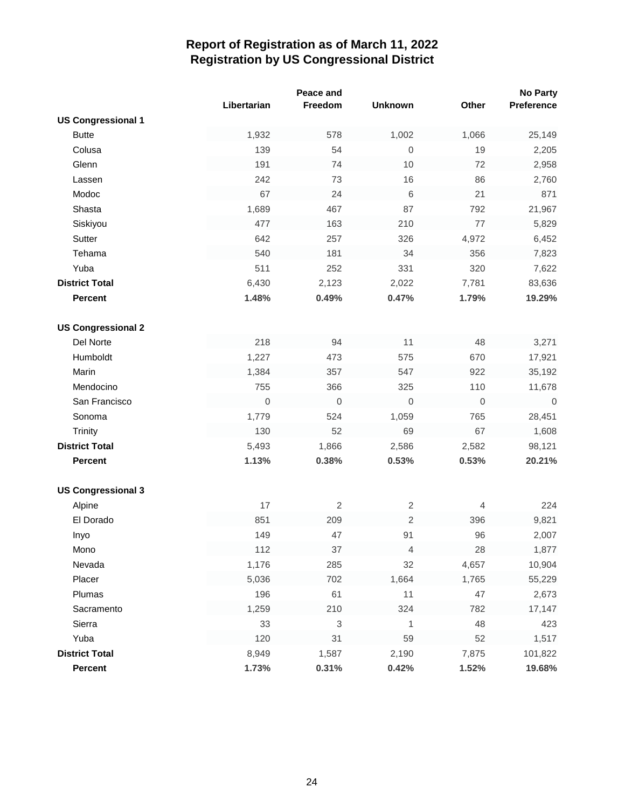|                           |             | Peace and  |                  |                  | <b>No Party</b> |
|---------------------------|-------------|------------|------------------|------------------|-----------------|
|                           | Libertarian | Freedom    | <b>Unknown</b>   | Other            | Preference      |
| <b>US Congressional 1</b> |             |            |                  |                  |                 |
| <b>Butte</b>              | 1,932       | 578        | 1,002            | 1,066            | 25,149          |
| Colusa                    | 139         | 54         | $\mathbf 0$      | 19               | 2,205           |
| Glenn                     | 191         | 74         | 10               | 72               | 2,958           |
| Lassen                    | 242         | 73         | 16               | 86               | 2,760           |
| Modoc                     | 67          | 24         | 6                | 21               | 871             |
| Shasta                    | 1,689       | 467        | 87               | 792              | 21,967          |
| Siskiyou                  | 477         | 163        | 210              | 77               | 5,829           |
| Sutter                    | 642         | 257        | 326              | 4,972            | 6,452           |
| Tehama                    | 540         | 181        | 34               | 356              | 7,823           |
| Yuba                      | 511         | 252        | 331              | 320              | 7,622           |
| <b>District Total</b>     | 6,430       | 2,123      | 2,022            | 7,781            | 83,636          |
| <b>Percent</b>            | 1.48%       | 0.49%      | 0.47%            | 1.79%            | 19.29%          |
|                           |             |            |                  |                  |                 |
| <b>US Congressional 2</b> |             |            |                  |                  |                 |
| Del Norte                 | 218         | 94         | 11               | 48               | 3,271           |
| Humboldt                  | 1,227       | 473        | 575              | 670              | 17,921          |
| Marin                     | 1,384       | 357        | 547              | 922              | 35,192          |
| Mendocino                 | 755         | 366        | 325              | 110              | 11,678          |
| San Francisco             | 0           | $\,0\,$    | $\boldsymbol{0}$ | $\boldsymbol{0}$ | $\overline{0}$  |
| Sonoma                    | 1,779       | 524        | 1,059            | 765              | 28,451          |
| Trinity                   | 130         | 52         | 69               | 67               | 1,608           |
| <b>District Total</b>     | 5,493       | 1,866      | 2,586            | 2,582            | 98,121          |
| <b>Percent</b>            | 1.13%       | 0.38%      | 0.53%            | 0.53%            | 20.21%          |
|                           |             |            |                  |                  |                 |
| <b>US Congressional 3</b> |             |            |                  |                  |                 |
| Alpine                    | 17          | $\sqrt{2}$ | $\sqrt{2}$       | $\overline{4}$   | 224             |
| El Dorado                 | 851         | 209        | 2                | 396              | 9,821           |
| Inyo                      | 149         | 47         | 91               | 96               | 2,007           |
| Mono                      | 112         | 37         | 4                | 28               | 1,877           |
| Nevada                    | 1,176       | 285        | 32               | 4,657            | 10,904          |
| Placer                    | 5,036       | 702        | 1,664            | 1,765            | 55,229          |
| Plumas                    | 196         | 61         | 11               | 47               | 2,673           |
| Sacramento                | 1,259       | 210        | 324              | 782              | 17,147          |
| Sierra                    | 33          | 3          | 1                | 48               | 423             |
| Yuba                      | 120         | 31         | 59               | 52               | 1,517           |
| <b>District Total</b>     | 8,949       | 1,587      | 2,190            | 7,875            | 101,822         |
| Percent                   | 1.73%       | 0.31%      | 0.42%            | 1.52%            | 19.68%          |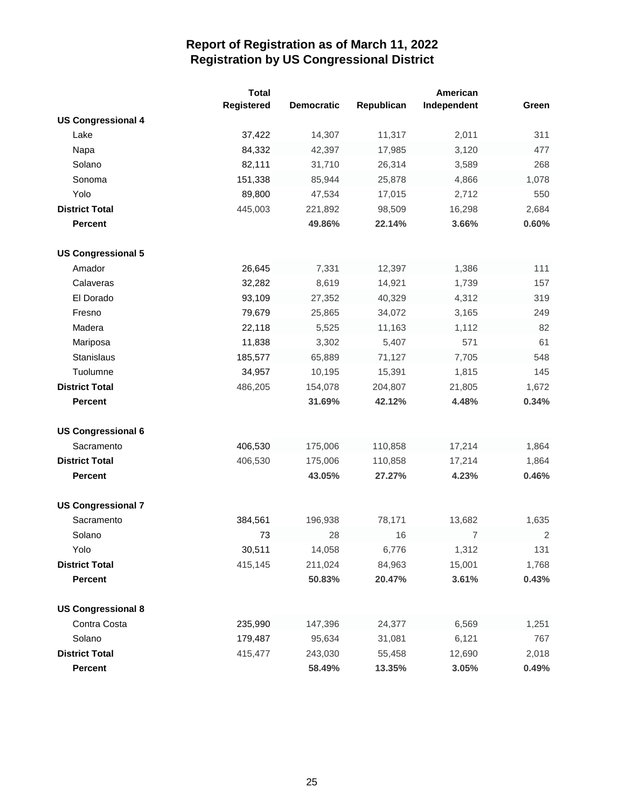|                           | <b>Total</b> |                   |            | American       |            |
|---------------------------|--------------|-------------------|------------|----------------|------------|
|                           | Registered   | <b>Democratic</b> | Republican | Independent    | Green      |
| <b>US Congressional 4</b> |              |                   |            |                |            |
| Lake                      | 37,422       | 14,307            | 11,317     | 2,011          | 311        |
| Napa                      | 84,332       | 42,397            | 17,985     | 3,120          | 477        |
| Solano                    | 82,111       | 31,710            | 26,314     | 3,589          | 268        |
| Sonoma                    | 151,338      | 85,944            | 25,878     | 4,866          | 1,078      |
| Yolo                      | 89,800       | 47,534            | 17,015     | 2,712          | 550        |
| <b>District Total</b>     | 445,003      | 221,892           | 98,509     | 16,298         | 2,684      |
| <b>Percent</b>            |              | 49.86%            | 22.14%     | 3.66%          | 0.60%      |
| <b>US Congressional 5</b> |              |                   |            |                |            |
| Amador                    | 26,645       | 7,331             | 12,397     | 1,386          | 111        |
| Calaveras                 | 32,282       | 8,619             | 14,921     | 1,739          | 157        |
| El Dorado                 | 93,109       | 27,352            | 40,329     | 4,312          | 319        |
| Fresno                    | 79,679       | 25,865            | 34,072     | 3,165          | 249        |
| Madera                    | 22,118       | 5,525             | 11,163     | 1,112          | 82         |
| Mariposa                  | 11,838       | 3,302             | 5,407      | 571            | 61         |
| Stanislaus                | 185,577      | 65,889            | 71,127     | 7,705          | 548        |
| Tuolumne                  | 34,957       | 10,195            | 15,391     | 1,815          | 145        |
| <b>District Total</b>     | 486,205      | 154,078           | 204,807    | 21,805         | 1,672      |
| <b>Percent</b>            |              | 31.69%            | 42.12%     | 4.48%          | 0.34%      |
|                           |              |                   |            |                |            |
| <b>US Congressional 6</b> |              |                   |            |                |            |
| Sacramento                | 406,530      | 175,006           | 110,858    | 17,214         | 1,864      |
| <b>District Total</b>     | 406,530      | 175,006           | 110,858    | 17,214         | 1,864      |
| <b>Percent</b>            |              | 43.05%            | 27.27%     | 4.23%          | 0.46%      |
|                           |              |                   |            |                |            |
| <b>US Congressional 7</b> |              |                   |            |                |            |
| Sacramento                | 384,561      | 196,938           | 78,171     | 13,682         | 1,635      |
| Solano                    | 73           | 28                | 16         | $\overline{7}$ | $\sqrt{2}$ |
| Yolo                      | 30,511       | 14,058            | 6,776      | 1,312          | 131        |
| <b>District Total</b>     | 415,145      | 211,024           | 84,963     | 15,001         | 1,768      |
| <b>Percent</b>            |              | 50.83%            | 20.47%     | 3.61%          | 0.43%      |
| <b>US Congressional 8</b> |              |                   |            |                |            |
| Contra Costa              | 235,990      | 147,396           | 24,377     | 6,569          | 1,251      |
| Solano                    | 179,487      | 95,634            | 31,081     | 6,121          | 767        |
| <b>District Total</b>     | 415,477      | 243,030           | 55,458     | 12,690         | 2,018      |
| <b>Percent</b>            |              | 58.49%            | 13.35%     | 3.05%          | 0.49%      |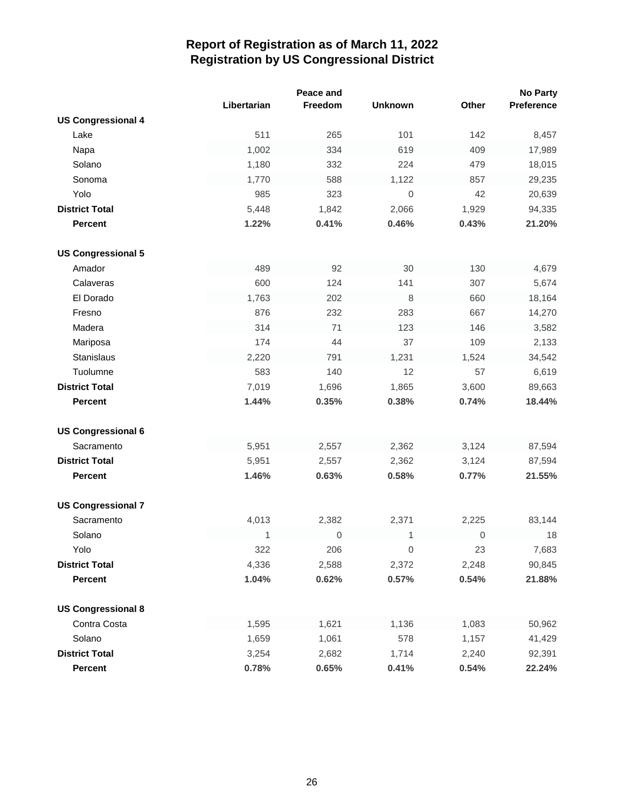|                           |             | Peace and   |                |                  | <b>No Party</b> |
|---------------------------|-------------|-------------|----------------|------------------|-----------------|
|                           | Libertarian | Freedom     | <b>Unknown</b> | Other            | Preference      |
| <b>US Congressional 4</b> |             |             |                |                  |                 |
| Lake                      | 511         | 265         | 101            | 142              | 8,457           |
| Napa                      | 1,002       | 334         | 619            | 409              | 17,989          |
| Solano                    | 1,180       | 332         | 224            | 479              | 18,015          |
| Sonoma                    | 1,770       | 588         | 1,122          | 857              | 29,235          |
| Yolo                      | 985         | 323         | 0              | 42               | 20,639          |
| <b>District Total</b>     | 5,448       | 1,842       | 2,066          | 1,929            | 94,335          |
| <b>Percent</b>            | 1.22%       | 0.41%       | 0.46%          | 0.43%            | 21.20%          |
| <b>US Congressional 5</b> |             |             |                |                  |                 |
| Amador                    | 489         | 92          | 30             | 130              | 4,679           |
| Calaveras                 | 600         | 124         | 141            | 307              | 5,674           |
| El Dorado                 | 1,763       | 202         | 8              | 660              | 18,164          |
| Fresno                    | 876         | 232         | 283            | 667              | 14,270          |
| Madera                    | 314         | 71          | 123            | 146              | 3,582           |
| Mariposa                  | 174         | 44          | 37             | 109              | 2,133           |
| Stanislaus                | 2,220       | 791         | 1,231          | 1,524            | 34,542          |
| Tuolumne                  | 583         | 140         | 12             | 57               | 6,619           |
| <b>District Total</b>     | 7,019       | 1,696       | 1,865          | 3,600            | 89,663          |
| <b>Percent</b>            | 1.44%       | 0.35%       | 0.38%          | 0.74%            | 18.44%          |
| <b>US Congressional 6</b> |             |             |                |                  |                 |
| Sacramento                | 5,951       | 2,557       | 2,362          | 3,124            | 87,594          |
| <b>District Total</b>     | 5,951       | 2,557       | 2,362          | 3,124            | 87,594          |
| <b>Percent</b>            | 1.46%       | 0.63%       | 0.58%          | 0.77%            | 21.55%          |
|                           |             |             |                |                  |                 |
| <b>US Congressional 7</b> |             |             |                |                  |                 |
| Sacramento                | 4,013       | 2,382       | 2,371          | 2,225            | 83,144          |
| Solano                    | $\mathbf 1$ | $\mathbf 0$ | 1              | $\boldsymbol{0}$ | 18              |
| Yolo                      | 322         | 206         | 0              | 23               | 7,683           |
| <b>District Total</b>     | 4,336       | 2,588       | 2,372          | 2,248            | 90,845          |
| <b>Percent</b>            | 1.04%       | 0.62%       | 0.57%          | 0.54%            | 21.88%          |
| <b>US Congressional 8</b> |             |             |                |                  |                 |
| Contra Costa              | 1,595       | 1,621       | 1,136          | 1,083            | 50,962          |
| Solano                    | 1,659       | 1,061       | 578            | 1,157            | 41,429          |
| <b>District Total</b>     | 3,254       | 2,682       | 1,714          | 2,240            | 92,391          |
| Percent                   | 0.78%       | 0.65%       | 0.41%          | 0.54%            | 22.24%          |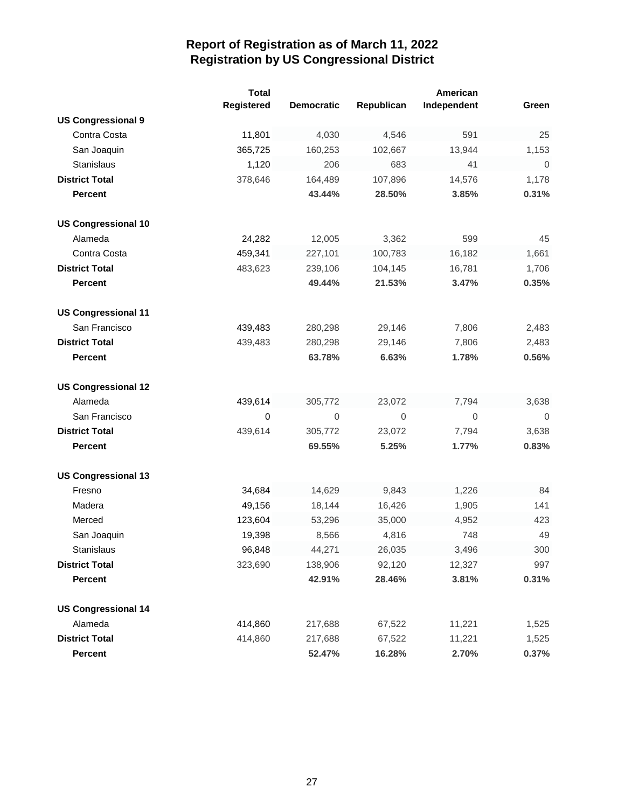|                            | <b>Total</b><br>Registered | <b>Democratic</b> | Republican  | American<br>Independent | Green          |
|----------------------------|----------------------------|-------------------|-------------|-------------------------|----------------|
| <b>US Congressional 9</b>  |                            |                   |             |                         |                |
| Contra Costa               | 11,801                     | 4,030             | 4,546       | 591                     | 25             |
| San Joaquin                | 365,725                    | 160,253           | 102,667     | 13,944                  | 1,153          |
| Stanislaus                 | 1,120                      | 206               | 683         | 41                      | $\mathbf 0$    |
| <b>District Total</b>      | 378,646                    | 164,489           | 107,896     | 14,576                  | 1,178          |
| <b>Percent</b>             |                            | 43.44%            | 28.50%      | 3.85%                   | 0.31%          |
| <b>US Congressional 10</b> |                            |                   |             |                         |                |
| Alameda                    | 24,282                     | 12,005            | 3,362       | 599                     | 45             |
| Contra Costa               | 459,341                    | 227,101           | 100,783     | 16,182                  | 1,661          |
| <b>District Total</b>      | 483,623                    | 239,106           | 104,145     | 16,781                  | 1,706          |
| <b>Percent</b>             |                            | 49.44%            | 21.53%      | 3.47%                   | 0.35%          |
| <b>US Congressional 11</b> |                            |                   |             |                         |                |
| San Francisco              | 439,483                    | 280,298           | 29,146      | 7,806                   | 2,483          |
| <b>District Total</b>      | 439,483                    | 280,298           | 29,146      | 7,806                   | 2,483          |
| <b>Percent</b>             |                            | 63.78%            | 6.63%       | 1.78%                   | 0.56%          |
| <b>US Congressional 12</b> |                            |                   |             |                         |                |
| Alameda                    | 439,614                    | 305,772           | 23,072      | 7,794                   | 3,638          |
| San Francisco              | $\pmb{0}$                  | $\mathbf 0$       | $\mathbf 0$ | 0                       | $\overline{0}$ |
| <b>District Total</b>      | 439,614                    | 305,772           | 23,072      | 7,794                   | 3,638          |
| <b>Percent</b>             |                            | 69.55%            | 5.25%       | 1.77%                   | 0.83%          |
| <b>US Congressional 13</b> |                            |                   |             |                         |                |
| Fresno                     | 34,684                     | 14,629            | 9,843       | 1,226                   | 84             |
| Madera                     | 49,156                     | 18,144            | 16,426      | 1,905                   | 141            |
| Merced                     | 123,604                    | 53,296            | 35,000      | 4,952                   | 423            |
| San Joaquin                | 19,398                     | 8,566             | 4,816       | 748                     | 49             |
| Stanislaus                 | 96,848                     | 44,271            | 26,035      | 3,496                   | 300            |
| <b>District Total</b>      | 323,690                    | 138,906           | 92,120      | 12,327                  | 997            |
| <b>Percent</b>             |                            | 42.91%            | 28.46%      | 3.81%                   | 0.31%          |
| <b>US Congressional 14</b> |                            |                   |             |                         |                |
| Alameda                    | 414,860                    | 217,688           | 67,522      | 11,221                  | 1,525          |
| <b>District Total</b>      | 414,860                    | 217,688           | 67,522      | 11,221                  | 1,525          |
| Percent                    |                            | 52.47%            | 16.28%      | 2.70%                   | 0.37%          |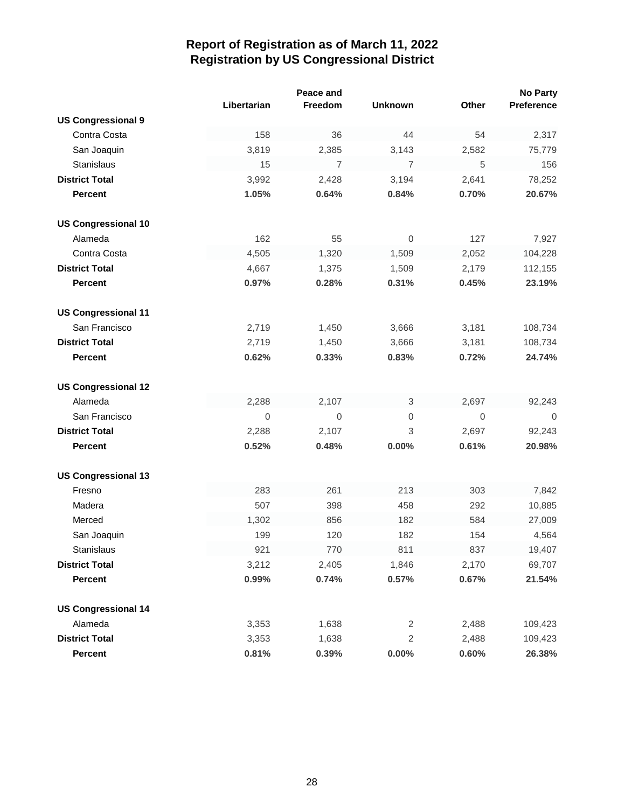|                            |             | Peace and      |                |                  | <b>No Party</b> |
|----------------------------|-------------|----------------|----------------|------------------|-----------------|
|                            | Libertarian | Freedom        | <b>Unknown</b> | Other            | Preference      |
| <b>US Congressional 9</b>  |             |                |                |                  |                 |
| Contra Costa               | 158         | 36             | 44             | 54               | 2,317           |
| San Joaquin                | 3,819       | 2,385          | 3,143          | 2,582            | 75,779          |
| <b>Stanislaus</b>          | 15          | $\overline{7}$ | $\overline{7}$ | $\,$ 5 $\,$      | 156             |
| <b>District Total</b>      | 3,992       | 2,428          | 3,194          | 2,641            | 78,252          |
| <b>Percent</b>             | 1.05%       | 0.64%          | 0.84%          | 0.70%            | 20.67%          |
| <b>US Congressional 10</b> |             |                |                |                  |                 |
| Alameda                    | 162         | 55             | 0              | 127              | 7,927           |
| Contra Costa               | 4,505       | 1,320          | 1,509          | 2,052            | 104,228         |
| <b>District Total</b>      | 4,667       | 1,375          | 1,509          | 2,179            | 112,155         |
| <b>Percent</b>             | 0.97%       | 0.28%          | 0.31%          | 0.45%            | 23.19%          |
| <b>US Congressional 11</b> |             |                |                |                  |                 |
| San Francisco              | 2,719       | 1,450          | 3,666          | 3,181            | 108,734         |
| <b>District Total</b>      | 2,719       | 1,450          | 3,666          | 3,181            | 108,734         |
| <b>Percent</b>             | 0.62%       | 0.33%          | 0.83%          | 0.72%            | 24.74%          |
| <b>US Congressional 12</b> |             |                |                |                  |                 |
| Alameda                    | 2,288       | 2,107          | 3              | 2,697            | 92,243          |
| San Francisco              | 0           | 0              | 0              | $\boldsymbol{0}$ | $\overline{0}$  |
| <b>District Total</b>      | 2,288       | 2,107          | 3              | 2,697            | 92,243          |
| <b>Percent</b>             | 0.52%       | 0.48%          | 0.00%          | 0.61%            | 20.98%          |
| <b>US Congressional 13</b> |             |                |                |                  |                 |
| Fresno                     | 283         | 261            | 213            | 303              | 7,842           |
| Madera                     | 507         | 398            | 458            | 292              | 10,885          |
| Merced                     | 1,302       | 856            | 182            | 584              | 27,009          |
| San Joaquin                | 199         | 120            | 182            | 154              | 4,564           |
| Stanislaus                 | 921         | 770            | 811            | 837              | 19,407          |
| <b>District Total</b>      | 3,212       | 2,405          | 1,846          | 2,170            | 69,707          |
| Percent                    | 0.99%       | 0.74%          | 0.57%          | 0.67%            | 21.54%          |
| <b>US Congressional 14</b> |             |                |                |                  |                 |
| Alameda                    | 3,353       | 1,638          | 2              | 2,488            | 109,423         |
| <b>District Total</b>      | 3,353       | 1,638          | $\mathbf{2}$   | 2,488            | 109,423         |
| Percent                    | 0.81%       | 0.39%          | 0.00%          | 0.60%            | 26.38%          |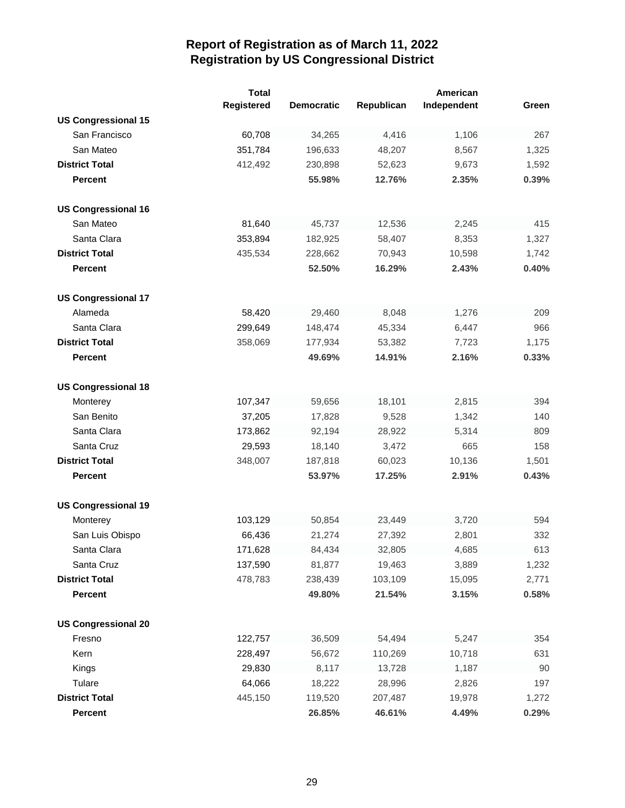|                            | <b>Total</b> |                   |            | American    |       |
|----------------------------|--------------|-------------------|------------|-------------|-------|
|                            | Registered   | <b>Democratic</b> | Republican | Independent | Green |
| <b>US Congressional 15</b> |              |                   |            |             |       |
| San Francisco              | 60,708       | 34,265            | 4,416      | 1,106       | 267   |
| San Mateo                  | 351,784      | 196,633           | 48,207     | 8,567       | 1,325 |
| <b>District Total</b>      | 412,492      | 230,898           | 52,623     | 9,673       | 1,592 |
| <b>Percent</b>             |              | 55.98%            | 12.76%     | 2.35%       | 0.39% |
|                            |              |                   |            |             |       |
| <b>US Congressional 16</b> |              |                   |            |             |       |
| San Mateo                  | 81,640       | 45,737            | 12,536     | 2,245       | 415   |
| Santa Clara                | 353,894      | 182,925           | 58,407     | 8,353       | 1,327 |
| <b>District Total</b>      | 435,534      | 228,662           | 70,943     | 10,598      | 1,742 |
| <b>Percent</b>             |              | 52.50%            | 16.29%     | 2.43%       | 0.40% |
|                            |              |                   |            |             |       |
| <b>US Congressional 17</b> |              |                   |            |             |       |
| Alameda                    | 58,420       | 29,460            | 8,048      | 1,276       | 209   |
| Santa Clara                | 299,649      | 148,474           | 45,334     | 6,447       | 966   |
| <b>District Total</b>      | 358,069      | 177,934           | 53,382     | 7,723       | 1,175 |
| <b>Percent</b>             |              | 49.69%            | 14.91%     | 2.16%       | 0.33% |
|                            |              |                   |            |             |       |
| <b>US Congressional 18</b> |              |                   |            |             |       |
| Monterey                   | 107,347      | 59,656            | 18,101     | 2,815       | 394   |
| San Benito                 | 37,205       | 17,828            | 9,528      | 1,342       | 140   |
| Santa Clara                | 173,862      | 92,194            | 28,922     | 5,314       | 809   |
| Santa Cruz                 | 29,593       | 18,140            | 3,472      | 665         | 158   |
| <b>District Total</b>      | 348,007      | 187,818           | 60,023     | 10,136      | 1,501 |
| <b>Percent</b>             |              | 53.97%            | 17.25%     | 2.91%       | 0.43% |
|                            |              |                   |            |             |       |
| <b>US Congressional 19</b> |              |                   |            |             |       |
| Monterey                   | 103,129      | 50,854            | 23,449     | 3,720       | 594   |
| San Luis Obispo            | 66,436       | 21,274            | 27,392     | 2,801       | 332   |
| Santa Clara                | 171,628      | 84,434            | 32,805     | 4,685       | 613   |
| Santa Cruz                 | 137,590      | 81,877            | 19,463     | 3,889       | 1,232 |
| <b>District Total</b>      | 478,783      | 238,439           | 103,109    | 15,095      | 2,771 |
| Percent                    |              | 49.80%            | 21.54%     | 3.15%       | 0.58% |
|                            |              |                   |            |             |       |
| <b>US Congressional 20</b> |              |                   |            |             |       |
| Fresno                     | 122,757      | 36,509            | 54,494     | 5,247       | 354   |
| Kern                       | 228,497      | 56,672            | 110,269    | 10,718      | 631   |
| Kings                      | 29,830       | 8,117             | 13,728     | 1,187       | 90    |
| Tulare                     | 64,066       | 18,222            | 28,996     | 2,826       | 197   |
| <b>District Total</b>      | 445,150      | 119,520           | 207,487    | 19,978      | 1,272 |
| Percent                    |              | 26.85%            | 46.61%     | 4.49%       | 0.29% |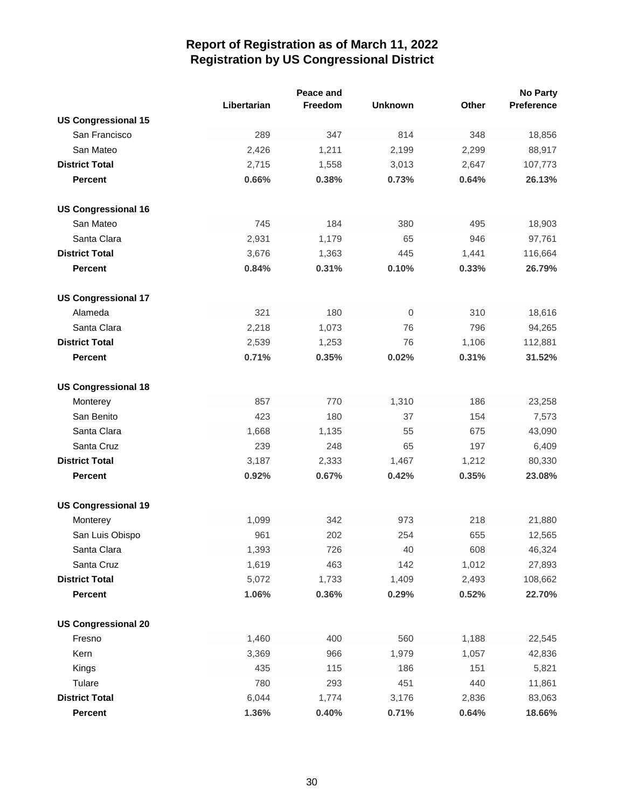|                            |             | Peace and |                |       | <b>No Party</b> |
|----------------------------|-------------|-----------|----------------|-------|-----------------|
|                            | Libertarian | Freedom   | <b>Unknown</b> | Other | Preference      |
| <b>US Congressional 15</b> |             |           |                |       |                 |
| San Francisco              | 289         | 347       | 814            | 348   | 18,856          |
| San Mateo                  | 2,426       | 1,211     | 2,199          | 2,299 | 88,917          |
| <b>District Total</b>      | 2,715       | 1,558     | 3,013          | 2,647 | 107,773         |
| <b>Percent</b>             | 0.66%       | 0.38%     | 0.73%          | 0.64% | 26.13%          |
| <b>US Congressional 16</b> |             |           |                |       |                 |
| San Mateo                  | 745         | 184       | 380            | 495   | 18,903          |
| Santa Clara                | 2,931       | 1,179     | 65             | 946   | 97,761          |
| <b>District Total</b>      | 3,676       | 1,363     | 445            | 1,441 | 116,664         |
| <b>Percent</b>             | 0.84%       | 0.31%     | 0.10%          | 0.33% | 26.79%          |
|                            |             |           |                |       |                 |
| <b>US Congressional 17</b> |             |           |                |       |                 |
| Alameda                    | 321         | 180       | $\mathbf 0$    | 310   | 18,616          |
| Santa Clara                | 2,218       | 1,073     | 76             | 796   | 94,265          |
| <b>District Total</b>      | 2,539       | 1,253     | 76             | 1,106 | 112,881         |
| <b>Percent</b>             | 0.71%       | 0.35%     | 0.02%          | 0.31% | 31.52%          |
| <b>US Congressional 18</b> |             |           |                |       |                 |
| Monterey                   | 857         | 770       | 1,310          | 186   | 23,258          |
| San Benito                 | 423         | 180       | 37             | 154   | 7,573           |
| Santa Clara                | 1,668       | 1,135     | 55             | 675   | 43,090          |
| Santa Cruz                 | 239         | 248       | 65             | 197   | 6,409           |
| <b>District Total</b>      | 3,187       | 2,333     | 1,467          | 1,212 | 80,330          |
| <b>Percent</b>             | 0.92%       | 0.67%     | 0.42%          | 0.35% | 23.08%          |
|                            |             |           |                |       |                 |
| <b>US Congressional 19</b> |             |           |                |       |                 |
| Monterey                   | 1,099       | 342       | 973            | 218   | 21,880          |
| San Luis Obispo            | 961         | 202       | 254            | 655   | 12,565          |
| Santa Clara                | 1,393       | 726       | 40             | 608   | 46,324          |
| Santa Cruz                 | 1,619       | 463       | 142            | 1,012 | 27,893          |
| <b>District Total</b>      | 5,072       | 1,733     | 1,409          | 2,493 | 108,662         |
| <b>Percent</b>             | 1.06%       | 0.36%     | 0.29%          | 0.52% | 22.70%          |
| <b>US Congressional 20</b> |             |           |                |       |                 |
| Fresno                     | 1,460       | 400       | 560            | 1,188 | 22,545          |
| Kern                       | 3,369       | 966       | 1,979          | 1,057 | 42,836          |
| Kings                      | 435         | 115       | 186            | 151   | 5,821           |
| Tulare                     | 780         | 293       | 451            | 440   | 11,861          |
| <b>District Total</b>      | 6,044       | 1,774     | 3,176          | 2,836 | 83,063          |
| Percent                    | 1.36%       | 0.40%     | 0.71%          | 0.64% | 18.66%          |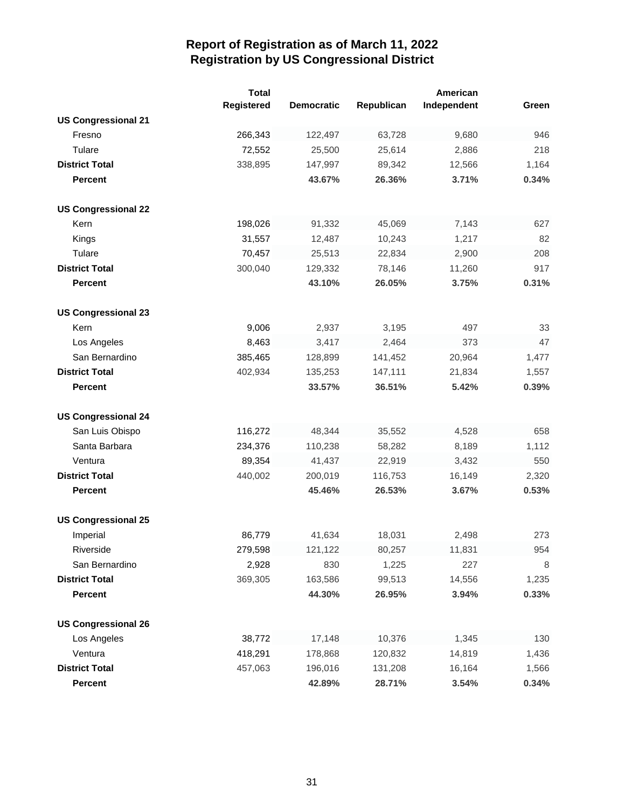|                            | <b>Total</b><br>Registered | <b>Democratic</b> | Republican | American<br>Independent | Green |
|----------------------------|----------------------------|-------------------|------------|-------------------------|-------|
| <b>US Congressional 21</b> |                            |                   |            |                         |       |
| Fresno                     | 266,343                    | 122,497           | 63,728     | 9,680                   | 946   |
| Tulare                     | 72,552                     | 25,500            | 25,614     | 2,886                   | 218   |
| <b>District Total</b>      | 338,895                    | 147,997           | 89,342     | 12,566                  | 1,164 |
| <b>Percent</b>             |                            | 43.67%            | 26.36%     | 3.71%                   | 0.34% |
|                            |                            |                   |            |                         |       |
| <b>US Congressional 22</b> |                            |                   |            |                         |       |
| Kern                       | 198,026                    | 91,332            | 45,069     | 7,143                   | 627   |
| Kings                      | 31,557                     | 12,487            | 10,243     | 1,217                   | 82    |
| Tulare                     | 70,457                     | 25,513            | 22,834     | 2,900                   | 208   |
| <b>District Total</b>      | 300,040                    | 129,332           | 78,146     | 11,260                  | 917   |
| <b>Percent</b>             |                            | 43.10%            | 26.05%     | 3.75%                   | 0.31% |
|                            |                            |                   |            |                         |       |
| <b>US Congressional 23</b> |                            |                   |            |                         |       |
| Kern                       | 9,006                      | 2,937             | 3,195      | 497                     | 33    |
| Los Angeles                | 8,463                      | 3,417             | 2,464      | 373                     | 47    |
| San Bernardino             | 385,465                    | 128,899           | 141,452    | 20,964                  | 1,477 |
| <b>District Total</b>      | 402,934                    | 135,253           | 147,111    | 21,834                  | 1,557 |
| <b>Percent</b>             |                            | 33.57%            | 36.51%     | 5.42%                   | 0.39% |
|                            |                            |                   |            |                         |       |
| <b>US Congressional 24</b> |                            |                   |            |                         |       |
| San Luis Obispo            | 116,272                    | 48,344            | 35,552     | 4,528                   | 658   |
| Santa Barbara              | 234,376                    | 110,238           | 58,282     | 8,189                   | 1,112 |
| Ventura                    | 89,354                     | 41,437            | 22,919     | 3,432                   | 550   |
| <b>District Total</b>      | 440,002                    | 200,019           | 116,753    | 16,149                  | 2,320 |
| <b>Percent</b>             |                            | 45.46%            | 26.53%     | 3.67%                   | 0.53% |
|                            |                            |                   |            |                         |       |
| <b>US Congressional 25</b> |                            |                   |            |                         |       |
| Imperial                   | 86,779                     | 41,634            | 18,031     | 2,498                   | 273   |
| Riverside                  | 279,598                    | 121,122           | 80,257     | 11,831                  | 954   |
| San Bernardino             | 2,928                      | 830               | 1,225      | 227                     | 8     |
| <b>District Total</b>      | 369,305                    | 163,586           | 99,513     | 14,556                  | 1,235 |
| <b>Percent</b>             |                            | 44.30%            | 26.95%     | 3.94%                   | 0.33% |
|                            |                            |                   |            |                         |       |
| <b>US Congressional 26</b> |                            |                   |            |                         |       |
| Los Angeles                | 38,772                     | 17,148            | 10,376     | 1,345                   | 130   |
| Ventura                    | 418,291                    | 178,868           | 120,832    | 14,819                  | 1,436 |
| <b>District Total</b>      | 457,063                    | 196,016           | 131,208    | 16,164                  | 1,566 |
| Percent                    |                            | 42.89%            | 28.71%     | 3.54%                   | 0.34% |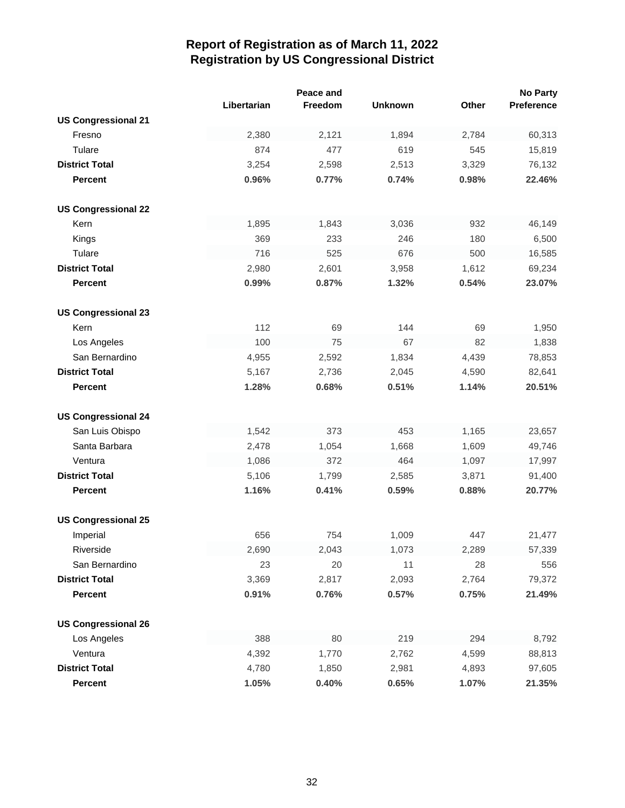|                            |             | Peace and |                |       | <b>No Party</b> |
|----------------------------|-------------|-----------|----------------|-------|-----------------|
|                            | Libertarian | Freedom   | <b>Unknown</b> | Other | Preference      |
| <b>US Congressional 21</b> |             |           |                |       |                 |
| Fresno                     | 2,380       | 2,121     | 1,894          | 2,784 | 60,313          |
| Tulare                     | 874         | 477       | 619            | 545   | 15,819          |
| <b>District Total</b>      | 3,254       | 2,598     | 2,513          | 3,329 | 76,132          |
| <b>Percent</b>             | 0.96%       | 0.77%     | 0.74%          | 0.98% | 22.46%          |
|                            |             |           |                |       |                 |
| <b>US Congressional 22</b> |             |           |                |       |                 |
| Kern                       | 1,895       | 1,843     | 3,036          | 932   | 46,149          |
| Kings                      | 369         | 233       | 246            | 180   | 6,500           |
| Tulare                     | 716         | 525       | 676            | 500   | 16,585          |
| <b>District Total</b>      | 2,980       | 2,601     | 3,958          | 1,612 | 69,234          |
| <b>Percent</b>             | 0.99%       | 0.87%     | 1.32%          | 0.54% | 23.07%          |
|                            |             |           |                |       |                 |
| <b>US Congressional 23</b> |             |           |                |       |                 |
| Kern                       | 112         | 69        | 144            | 69    | 1,950           |
| Los Angeles                | 100         | 75        | 67             | 82    | 1,838           |
| San Bernardino             | 4,955       | 2,592     | 1,834          | 4,439 | 78,853          |
| <b>District Total</b>      | 5,167       | 2,736     | 2,045          | 4,590 | 82,641          |
| <b>Percent</b>             | 1.28%       | 0.68%     | 0.51%          | 1.14% | 20.51%          |
|                            |             |           |                |       |                 |
| <b>US Congressional 24</b> |             |           |                |       |                 |
| San Luis Obispo            | 1,542       | 373       | 453            | 1,165 | 23,657          |
| Santa Barbara              | 2,478       | 1,054     | 1,668          | 1,609 | 49,746          |
| Ventura                    | 1,086       | 372       | 464            | 1,097 | 17,997          |
| <b>District Total</b>      | 5,106       | 1,799     | 2,585          | 3,871 | 91,400          |
| <b>Percent</b>             | 1.16%       | 0.41%     | 0.59%          | 0.88% | 20.77%          |
|                            |             |           |                |       |                 |
| <b>US Congressional 25</b> |             |           |                |       |                 |
| Imperial                   | 656         | 754       | 1,009          | 447   | 21,477          |
| Riverside                  | 2,690       | 2,043     | 1,073          | 2,289 | 57,339          |
| San Bernardino             | 23          | 20        | 11             | 28    | 556             |
| <b>District Total</b>      | 3,369       | 2,817     | 2,093          | 2,764 | 79,372          |
| Percent                    | 0.91%       | 0.76%     | 0.57%          | 0.75% | 21.49%          |
|                            |             |           |                |       |                 |
| <b>US Congressional 26</b> |             |           |                |       |                 |
| Los Angeles                | 388         | 80        | 219            | 294   | 8,792           |
| Ventura                    | 4,392       | 1,770     | 2,762          | 4,599 | 88,813          |
| <b>District Total</b>      | 4,780       | 1,850     | 2,981          | 4,893 | 97,605          |
| Percent                    | 1.05%       | 0.40%     | 0.65%          | 1.07% | 21.35%          |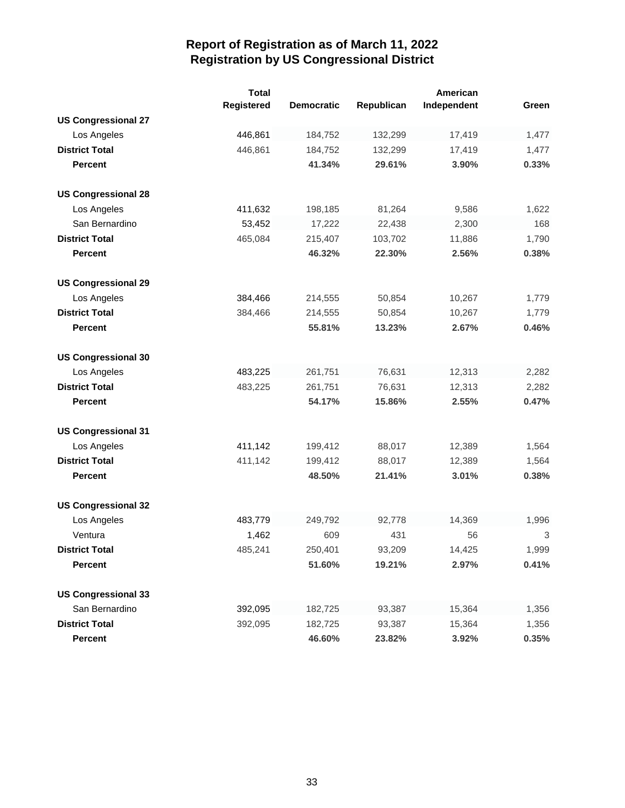|                            | <b>Total</b><br>Registered | <b>Democratic</b> | Republican | American<br>Independent | Green |
|----------------------------|----------------------------|-------------------|------------|-------------------------|-------|
| <b>US Congressional 27</b> |                            |                   |            |                         |       |
| Los Angeles                | 446,861                    | 184,752           | 132,299    | 17,419                  | 1,477 |
| <b>District Total</b>      | 446,861                    | 184,752           | 132,299    | 17,419                  | 1,477 |
| <b>Percent</b>             |                            | 41.34%            | 29.61%     | 3.90%                   | 0.33% |
| <b>US Congressional 28</b> |                            |                   |            |                         |       |
| Los Angeles                | 411,632                    | 198,185           | 81,264     | 9,586                   | 1,622 |
| San Bernardino             | 53,452                     | 17,222            | 22,438     | 2,300                   | 168   |
| <b>District Total</b>      | 465,084                    | 215,407           | 103,702    | 11,886                  | 1,790 |
| <b>Percent</b>             |                            | 46.32%            | 22.30%     | 2.56%                   | 0.38% |
| <b>US Congressional 29</b> |                            |                   |            |                         |       |
| Los Angeles                | 384,466                    | 214,555           | 50,854     | 10,267                  | 1,779 |
| <b>District Total</b>      | 384,466                    | 214,555           | 50,854     | 10,267                  | 1,779 |
| <b>Percent</b>             |                            | 55.81%            | 13.23%     | 2.67%                   | 0.46% |
| <b>US Congressional 30</b> |                            |                   |            |                         |       |
| Los Angeles                | 483,225                    | 261,751           | 76,631     | 12,313                  | 2,282 |
| <b>District Total</b>      | 483,225                    | 261,751           | 76,631     | 12,313                  | 2,282 |
| <b>Percent</b>             |                            | 54.17%            | 15.86%     | 2.55%                   | 0.47% |
| <b>US Congressional 31</b> |                            |                   |            |                         |       |
| Los Angeles                | 411,142                    | 199,412           | 88,017     | 12,389                  | 1,564 |
| <b>District Total</b>      | 411,142                    | 199,412           | 88,017     | 12,389                  | 1,564 |
| <b>Percent</b>             |                            | 48.50%            | 21.41%     | 3.01%                   | 0.38% |
| <b>US Congressional 32</b> |                            |                   |            |                         |       |
| Los Angeles                | 483,779                    | 249,792           | 92,778     | 14,369                  | 1,996 |
| Ventura                    | 1,462                      | 609               | 431        | 56                      | 3     |
| <b>District Total</b>      | 485,241                    | 250,401           | 93,209     | 14,425                  | 1,999 |
| <b>Percent</b>             |                            | 51.60%            | 19.21%     | 2.97%                   | 0.41% |
| <b>US Congressional 33</b> |                            |                   |            |                         |       |
| San Bernardino             | 392,095                    | 182,725           | 93,387     | 15,364                  | 1,356 |
| <b>District Total</b>      | 392,095                    | 182,725           | 93,387     | 15,364                  | 1,356 |
| Percent                    |                            | 46.60%            | 23.82%     | 3.92%                   | 0.35% |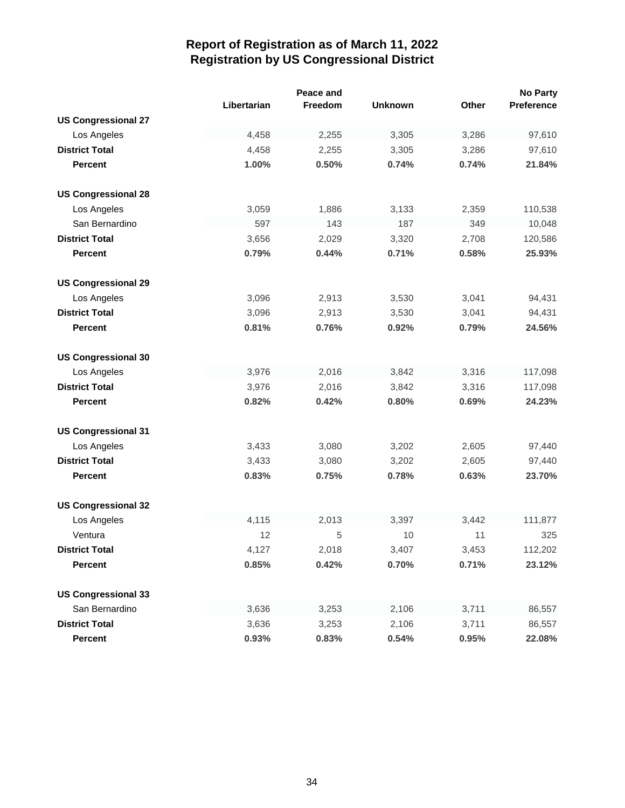|                            |             | Peace and |                |              | <b>No Party</b> |
|----------------------------|-------------|-----------|----------------|--------------|-----------------|
|                            | Libertarian | Freedom   | <b>Unknown</b> | <b>Other</b> | Preference      |
| <b>US Congressional 27</b> |             |           |                |              |                 |
| Los Angeles                | 4,458       | 2,255     | 3,305          | 3,286        | 97,610          |
| <b>District Total</b>      | 4,458       | 2,255     | 3,305          | 3,286        | 97,610          |
| <b>Percent</b>             | 1.00%       | 0.50%     | 0.74%          | 0.74%        | 21.84%          |
|                            |             |           |                |              |                 |
| <b>US Congressional 28</b> |             |           |                |              |                 |
| Los Angeles                | 3,059       | 1,886     | 3,133          | 2,359        | 110,538         |
| San Bernardino             | 597         | 143       | 187            | 349          | 10,048          |
| <b>District Total</b>      | 3,656       | 2,029     | 3,320          | 2,708        | 120,586         |
| <b>Percent</b>             | 0.79%       | 0.44%     | 0.71%          | 0.58%        | 25.93%          |
|                            |             |           |                |              |                 |
| <b>US Congressional 29</b> |             |           |                |              |                 |
| Los Angeles                | 3,096       | 2,913     | 3,530          | 3,041        | 94,431          |
| <b>District Total</b>      | 3,096       | 2,913     | 3,530          | 3,041        | 94,431          |
| <b>Percent</b>             | 0.81%       | 0.76%     | 0.92%          | 0.79%        | 24.56%          |
| <b>US Congressional 30</b> |             |           |                |              |                 |
| Los Angeles                | 3,976       | 2,016     | 3,842          | 3,316        | 117,098         |
| <b>District Total</b>      | 3,976       | 2,016     | 3,842          | 3,316        | 117,098         |
| <b>Percent</b>             | 0.82%       | 0.42%     | 0.80%          | 0.69%        | 24.23%          |
|                            |             |           |                |              |                 |
| <b>US Congressional 31</b> |             |           |                |              |                 |
| Los Angeles                | 3,433       | 3,080     | 3,202          | 2,605        | 97,440          |
| <b>District Total</b>      | 3,433       | 3,080     | 3,202          | 2,605        | 97,440          |
| <b>Percent</b>             | 0.83%       | 0.75%     | 0.78%          | 0.63%        | 23.70%          |
|                            |             |           |                |              |                 |
| <b>US Congressional 32</b> |             |           |                |              |                 |
| Los Angeles                | 4,115       | 2,013     | 3,397          | 3,442        | 111,877         |
| Ventura                    | 12          | 5         | 10             | 11           | 325             |
| <b>District Total</b>      | 4,127       | 2,018     | 3,407          | 3,453        | 112,202         |
| <b>Percent</b>             | 0.85%       | 0.42%     | 0.70%          | 0.71%        | 23.12%          |
| <b>US Congressional 33</b> |             |           |                |              |                 |
| San Bernardino             | 3,636       | 3,253     | 2,106          | 3,711        | 86,557          |
| <b>District Total</b>      | 3,636       | 3,253     | 2,106          | 3,711        | 86,557          |
| Percent                    | 0.93%       | 0.83%     | 0.54%          | 0.95%        | 22.08%          |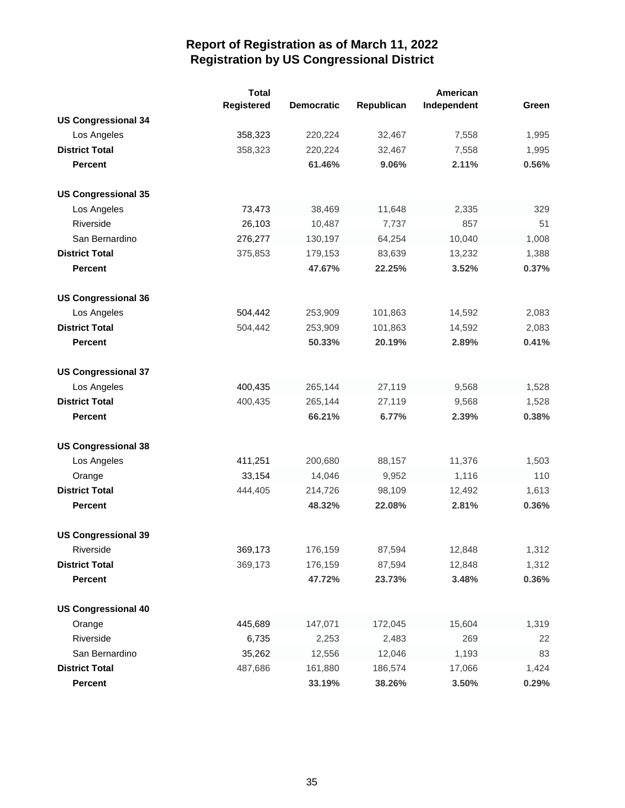|                            | <b>Total</b> |                   |            | American    |       |
|----------------------------|--------------|-------------------|------------|-------------|-------|
|                            | Registered   | <b>Democratic</b> | Republican | Independent | Green |
| <b>US Congressional 34</b> |              |                   |            |             |       |
| Los Angeles                | 358,323      | 220,224           | 32,467     | 7,558       | 1,995 |
| <b>District Total</b>      | 358,323      | 220,224           | 32,467     | 7,558       | 1,995 |
| <b>Percent</b>             |              | 61.46%            | 9.06%      | 2.11%       | 0.56% |
| <b>US Congressional 35</b> |              |                   |            |             |       |
| Los Angeles                | 73,473       | 38,469            | 11,648     | 2,335       | 329   |
| Riverside                  | 26,103       | 10,487            | 7,737      | 857         | 51    |
| San Bernardino             | 276,277      | 130,197           | 64,254     | 10,040      | 1,008 |
| <b>District Total</b>      | 375,853      | 179,153           | 83,639     | 13,232      | 1,388 |
| <b>Percent</b>             |              | 47.67%            | 22.25%     | 3.52%       | 0.37% |
| <b>US Congressional 36</b> |              |                   |            |             |       |
| Los Angeles                | 504,442      | 253,909           | 101,863    | 14,592      | 2,083 |
| <b>District Total</b>      | 504,442      | 253,909           | 101,863    | 14,592      | 2,083 |
| <b>Percent</b>             |              | 50.33%            | 20.19%     | 2.89%       | 0.41% |
| <b>US Congressional 37</b> |              |                   |            |             |       |
| Los Angeles                | 400,435      | 265,144           | 27,119     | 9,568       | 1,528 |
| <b>District Total</b>      | 400,435      | 265,144           | 27,119     | 9,568       | 1,528 |
| <b>Percent</b>             |              | 66.21%            | 6.77%      | 2.39%       | 0.38% |
| <b>US Congressional 38</b> |              |                   |            |             |       |
| Los Angeles                | 411,251      | 200,680           | 88,157     | 11,376      | 1,503 |
| Orange                     | 33,154       | 14,046            | 9,952      | 1,116       | 110   |
| <b>District Total</b>      | 444,405      | 214,726           | 98,109     | 12,492      | 1,613 |
| <b>Percent</b>             |              | 48.32%            | 22.08%     | 2.81%       | 0.36% |
| <b>US Congressional 39</b> |              |                   |            |             |       |
| Riverside                  | 369,173      | 176,159           | 87,594     | 12,848      | 1,312 |
| <b>District Total</b>      | 369,173      | 176,159           | 87,594     | 12,848      | 1,312 |
| <b>Percent</b>             |              | 47.72%            | 23.73%     | 3.48%       | 0.36% |
| <b>US Congressional 40</b> |              |                   |            |             |       |
| Orange                     | 445,689      | 147,071           | 172,045    | 15,604      | 1,319 |
| Riverside                  | 6,735        | 2,253             | 2,483      | 269         | 22    |
| San Bernardino             | 35,262       | 12,556            | 12,046     | 1,193       | 83    |
| <b>District Total</b>      | 487,686      | 161,880           | 186,574    | 17,066      | 1,424 |
| Percent                    |              | 33.19%            | 38.26%     | 3.50%       | 0.29% |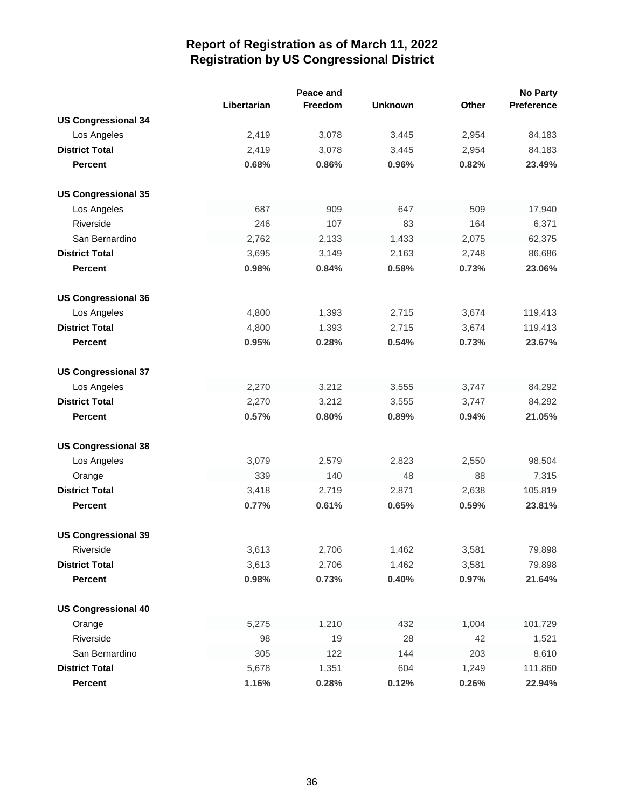|                            |             | Peace and |                |       | <b>No Party</b> |
|----------------------------|-------------|-----------|----------------|-------|-----------------|
|                            | Libertarian | Freedom   | <b>Unknown</b> | Other | Preference      |
| <b>US Congressional 34</b> |             |           |                |       |                 |
| Los Angeles                | 2,419       | 3,078     | 3,445          | 2,954 | 84,183          |
| <b>District Total</b>      | 2,419       | 3,078     | 3,445          | 2,954 | 84,183          |
| <b>Percent</b>             | 0.68%       | 0.86%     | 0.96%          | 0.82% | 23.49%          |
| <b>US Congressional 35</b> |             |           |                |       |                 |
| Los Angeles                | 687         | 909       | 647            | 509   | 17,940          |
| Riverside                  | 246         | 107       | 83             | 164   | 6,371           |
| San Bernardino             | 2,762       | 2,133     | 1,433          | 2,075 | 62,375          |
| <b>District Total</b>      | 3,695       | 3,149     | 2,163          | 2,748 | 86,686          |
| <b>Percent</b>             | 0.98%       | 0.84%     | 0.58%          | 0.73% | 23.06%          |
| <b>US Congressional 36</b> |             |           |                |       |                 |
| Los Angeles                | 4,800       | 1,393     | 2,715          | 3,674 | 119,413         |
| <b>District Total</b>      | 4,800       | 1,393     | 2,715          | 3,674 | 119,413         |
| <b>Percent</b>             | 0.95%       | 0.28%     | 0.54%          | 0.73% | 23.67%          |
| <b>US Congressional 37</b> |             |           |                |       |                 |
| Los Angeles                | 2,270       | 3,212     | 3,555          | 3,747 | 84,292          |
| <b>District Total</b>      | 2,270       | 3,212     | 3,555          | 3,747 | 84,292          |
| <b>Percent</b>             | 0.57%       | 0.80%     | 0.89%          | 0.94% | 21.05%          |
| <b>US Congressional 38</b> |             |           |                |       |                 |
| Los Angeles                | 3,079       | 2,579     | 2,823          | 2,550 | 98,504          |
| Orange                     | 339         | 140       | 48             | 88    | 7,315           |
| <b>District Total</b>      | 3,418       | 2,719     | 2,871          | 2,638 | 105,819         |
| <b>Percent</b>             | 0.77%       | 0.61%     | 0.65%          | 0.59% | 23.81%          |
| <b>US Congressional 39</b> |             |           |                |       |                 |
| Riverside                  | 3,613       | 2,706     | 1,462          | 3,581 | 79,898          |
| <b>District Total</b>      | 3,613       | 2,706     | 1,462          | 3,581 | 79,898          |
| <b>Percent</b>             | 0.98%       | 0.73%     | 0.40%          | 0.97% | 21.64%          |
| <b>US Congressional 40</b> |             |           |                |       |                 |
| Orange                     | 5,275       | 1,210     | 432            | 1,004 | 101,729         |
| Riverside                  | 98          | 19        | 28             | 42    | 1,521           |
| San Bernardino             | 305         | 122       | 144            | 203   | 8,610           |
| <b>District Total</b>      | 5,678       | 1,351     | 604            | 1,249 | 111,860         |
| <b>Percent</b>             | 1.16%       | 0.28%     | 0.12%          | 0.26% | 22.94%          |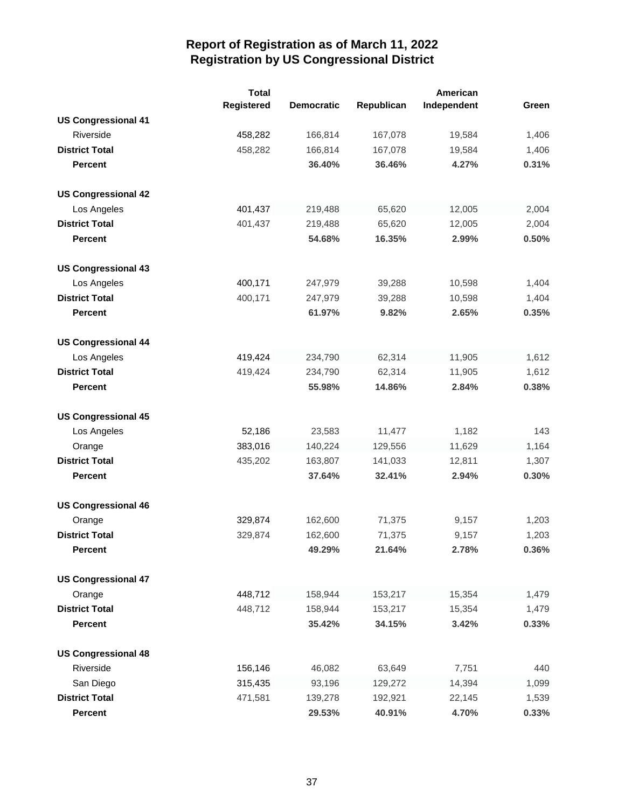|                            | <b>Total</b> |                   |            |             |       |
|----------------------------|--------------|-------------------|------------|-------------|-------|
|                            | Registered   | <b>Democratic</b> | Republican | Independent | Green |
| <b>US Congressional 41</b> |              |                   |            |             |       |
| Riverside                  | 458,282      | 166,814           | 167,078    | 19,584      | 1,406 |
| <b>District Total</b>      | 458,282      | 166,814           | 167,078    | 19,584      | 1,406 |
| <b>Percent</b>             |              | 36.40%            | 36.46%     | 4.27%       | 0.31% |
| <b>US Congressional 42</b> |              |                   |            |             |       |
| Los Angeles                | 401,437      | 219,488           | 65,620     | 12,005      | 2,004 |
| <b>District Total</b>      | 401,437      | 219,488           | 65,620     | 12,005      | 2,004 |
| <b>Percent</b>             |              | 54.68%            | 16.35%     | 2.99%       | 0.50% |
| <b>US Congressional 43</b> |              |                   |            |             |       |
| Los Angeles                | 400,171      | 247,979           | 39,288     | 10,598      | 1,404 |
| <b>District Total</b>      | 400,171      | 247,979           | 39,288     | 10,598      | 1,404 |
| <b>Percent</b>             |              | 61.97%            | 9.82%      | 2.65%       | 0.35% |
| <b>US Congressional 44</b> |              |                   |            |             |       |
| Los Angeles                | 419,424      | 234,790           | 62,314     | 11,905      | 1,612 |
| <b>District Total</b>      | 419,424      | 234,790           | 62,314     | 11,905      | 1,612 |
| <b>Percent</b>             |              | 55.98%            | 14.86%     | 2.84%       | 0.38% |
| <b>US Congressional 45</b> |              |                   |            |             |       |
| Los Angeles                | 52,186       | 23,583            | 11,477     | 1,182       | 143   |
| Orange                     | 383,016      | 140,224           | 129,556    | 11,629      | 1,164 |
| <b>District Total</b>      | 435,202      | 163,807           | 141,033    | 12,811      | 1,307 |
| <b>Percent</b>             |              | 37.64%            | 32.41%     | 2.94%       | 0.30% |
| <b>US Congressional 46</b> |              |                   |            |             |       |
| Orange                     | 329,874      | 162,600           | 71,375     | 9,157       | 1,203 |
| <b>District Total</b>      | 329,874      | 162,600           | 71,375     | 9,157       | 1,203 |
| <b>Percent</b>             |              | 49.29%            | 21.64%     | 2.78%       | 0.36% |
| <b>US Congressional 47</b> |              |                   |            |             |       |
| Orange                     | 448,712      | 158,944           | 153,217    | 15,354      | 1,479 |
| <b>District Total</b>      | 448,712      | 158,944           | 153,217    | 15,354      | 1,479 |
| Percent                    |              | 35.42%            | 34.15%     | 3.42%       | 0.33% |
| <b>US Congressional 48</b> |              |                   |            |             |       |
| Riverside                  | 156,146      | 46,082            | 63,649     | 7,751       | 440   |
| San Diego                  | 315,435      | 93,196            | 129,272    | 14,394      | 1,099 |
| <b>District Total</b>      | 471,581      | 139,278           | 192,921    | 22,145      | 1,539 |
| Percent                    |              | 29.53%            | 40.91%     | 4.70%       | 0.33% |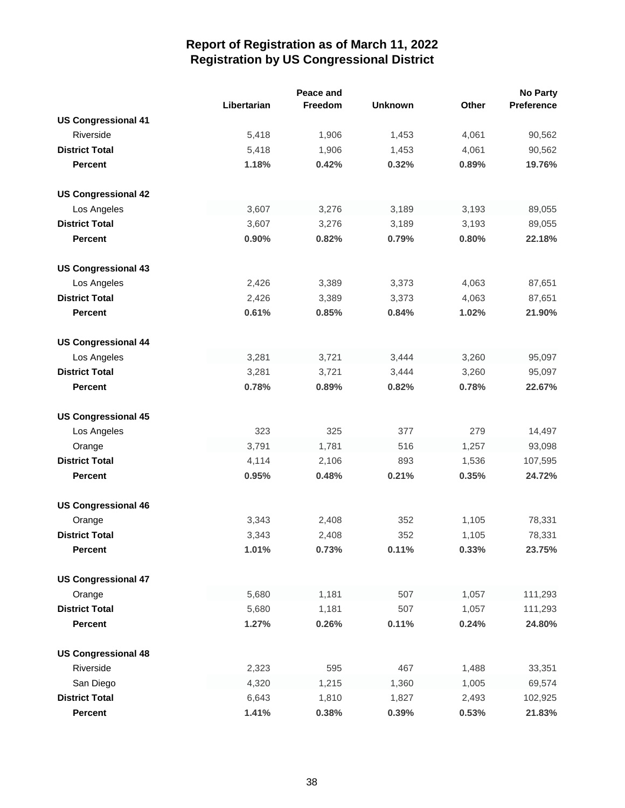|                            |             | Peace and |                |       | <b>No Party</b> |
|----------------------------|-------------|-----------|----------------|-------|-----------------|
|                            | Libertarian | Freedom   | <b>Unknown</b> | Other | Preference      |
| <b>US Congressional 41</b> |             |           |                |       |                 |
| Riverside                  | 5,418       | 1,906     | 1,453          | 4,061 | 90,562          |
| <b>District Total</b>      | 5,418       | 1,906     | 1,453          | 4,061 | 90,562          |
| <b>Percent</b>             | 1.18%       | 0.42%     | 0.32%          | 0.89% | 19.76%          |
| <b>US Congressional 42</b> |             |           |                |       |                 |
| Los Angeles                | 3,607       | 3,276     | 3,189          | 3,193 | 89,055          |
| <b>District Total</b>      | 3,607       | 3,276     | 3,189          | 3,193 | 89,055          |
| <b>Percent</b>             | 0.90%       | 0.82%     | 0.79%          | 0.80% | 22.18%          |
| <b>US Congressional 43</b> |             |           |                |       |                 |
| Los Angeles                | 2,426       | 3,389     | 3,373          | 4,063 | 87,651          |
| <b>District Total</b>      | 2,426       | 3,389     | 3,373          | 4,063 | 87,651          |
| <b>Percent</b>             | 0.61%       | 0.85%     | 0.84%          | 1.02% | 21.90%          |
| <b>US Congressional 44</b> |             |           |                |       |                 |
| Los Angeles                | 3,281       | 3,721     | 3,444          | 3,260 | 95,097          |
| <b>District Total</b>      | 3,281       | 3,721     | 3,444          | 3,260 | 95,097          |
| <b>Percent</b>             | 0.78%       | 0.89%     | 0.82%          | 0.78% | 22.67%          |
| <b>US Congressional 45</b> |             |           |                |       |                 |
| Los Angeles                | 323         | 325       | 377            | 279   | 14,497          |
| Orange                     | 3,791       | 1,781     | 516            | 1,257 | 93,098          |
| <b>District Total</b>      | 4,114       | 2,106     | 893            | 1,536 | 107,595         |
| <b>Percent</b>             | 0.95%       | 0.48%     | 0.21%          | 0.35% | 24.72%          |
| <b>US Congressional 46</b> |             |           |                |       |                 |
| Orange                     | 3,343       | 2,408     | 352            | 1,105 | 78,331          |
| <b>District Total</b>      | 3,343       | 2,408     | 352            | 1,105 | 78,331          |
| <b>Percent</b>             | 1.01%       | 0.73%     | 0.11%          | 0.33% | 23.75%          |
| <b>US Congressional 47</b> |             |           |                |       |                 |
| Orange                     | 5,680       | 1,181     | 507            | 1,057 | 111,293         |
| <b>District Total</b>      | 5,680       | 1,181     | 507            | 1,057 | 111,293         |
| <b>Percent</b>             | 1.27%       | 0.26%     | 0.11%          | 0.24% | 24.80%          |
| <b>US Congressional 48</b> |             |           |                |       |                 |
| Riverside                  | 2,323       | 595       | 467            | 1,488 | 33,351          |
| San Diego                  | 4,320       | 1,215     | 1,360          | 1,005 | 69,574          |
| <b>District Total</b>      | 6,643       | 1,810     | 1,827          | 2,493 | 102,925         |
| Percent                    | 1.41%       | 0.38%     | 0.39%          | 0.53% | 21.83%          |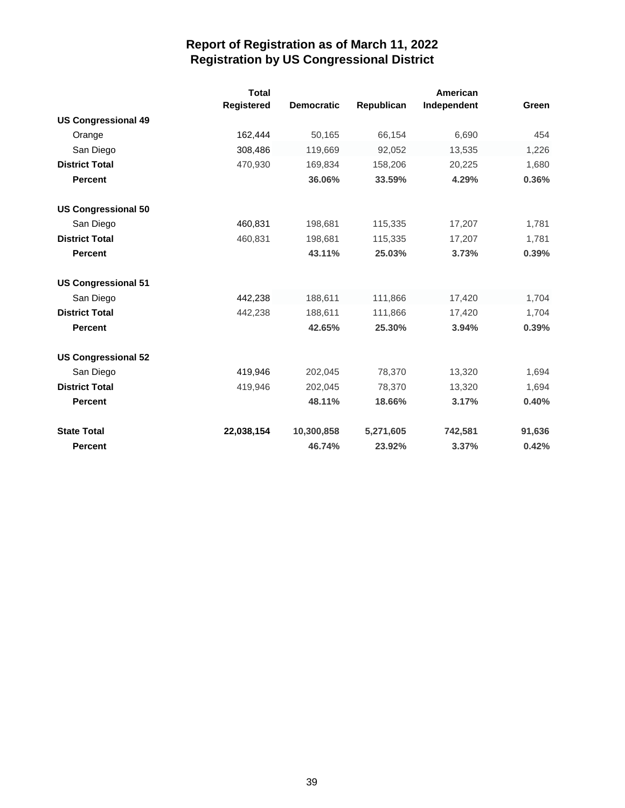|                            | <b>Total</b><br>Registered | <b>Democratic</b> | Republican | American<br>Independent | Green  |
|----------------------------|----------------------------|-------------------|------------|-------------------------|--------|
| <b>US Congressional 49</b> |                            |                   |            |                         |        |
| Orange                     | 162,444                    | 50,165            | 66,154     | 6,690                   | 454    |
| San Diego                  | 308,486                    | 119,669           | 92,052     | 13,535                  | 1,226  |
| <b>District Total</b>      | 470,930                    | 169,834           | 158,206    | 20,225                  | 1,680  |
| <b>Percent</b>             |                            | 36.06%            | 33.59%     | 4.29%                   | 0.36%  |
| <b>US Congressional 50</b> |                            |                   |            |                         |        |
| San Diego                  | 460,831                    | 198,681           | 115,335    | 17,207                  | 1,781  |
| <b>District Total</b>      | 460,831                    | 198,681           | 115,335    | 17,207                  | 1,781  |
| <b>Percent</b>             |                            | 43.11%            | 25.03%     | 3.73%                   | 0.39%  |
| <b>US Congressional 51</b> |                            |                   |            |                         |        |
| San Diego                  | 442,238                    | 188,611           | 111,866    | 17,420                  | 1,704  |
| <b>District Total</b>      | 442,238                    | 188,611           | 111,866    | 17,420                  | 1,704  |
| <b>Percent</b>             |                            | 42.65%            | 25.30%     | 3.94%                   | 0.39%  |
| <b>US Congressional 52</b> |                            |                   |            |                         |        |
| San Diego                  | 419,946                    | 202,045           | 78,370     | 13,320                  | 1,694  |
| <b>District Total</b>      | 419,946                    | 202,045           | 78,370     | 13,320                  | 1,694  |
| <b>Percent</b>             |                            | 48.11%            | 18.66%     | 3.17%                   | 0.40%  |
| <b>State Total</b>         | 22,038,154                 | 10,300,858        | 5,271,605  | 742,581                 | 91,636 |
| <b>Percent</b>             |                            | 46.74%            | 23.92%     | 3.37%                   | 0.42%  |